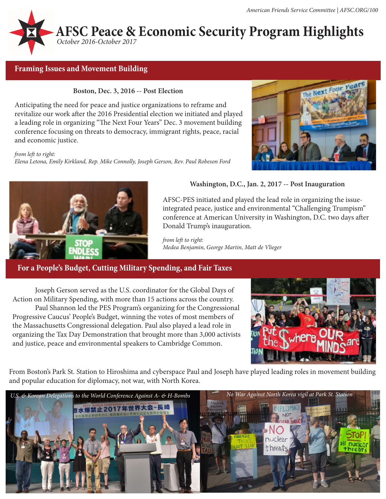

# **Framing Issues and Movement Building**

#### **Boston, Dec. 3, 2016 -- Post Election**

Anticipating the need for peace and justice organizations to reframe and revitalize our work after the 2016 Presidential election we initiated and played a leading role in organizing "The Next Four Years" Dec. 3 movement building conference focusing on threats to democracy, immigrant rights, peace, racial and economic justice.

*from left to right: Elena Letona, Emily Kirkland, Rep. Mike Connolly, Joseph Gerson, Rev. Paul Robeson Ford*





### **Washington, D.C., Jan. 2, 2017 -- Post Inauguration**

AFSC-PES initiated and played the lead role in organizing the issueintegrated peace, justice and environmental "Challenging Trumpism" conference at American University in Washington, D.C. two days after Donald Trump's inauguration.

*from left to right: Medea Benjamin, George Martin, Matt de Vlieger*

# **For a People's Budget, Cutting Military Spending, and Fair Taxes**

Joseph Gerson served as the U.S. coordinator for the Global Days of Action on Military Spending, with more than 15 actions across the country.

Paul Shannon led the PES Program's organizing for the Congressional Progressive Caucus' People's Budget, winning the votes of most members of the Massachusetts Congressional delegation. Paul also played a lead role in organizing the Tax Day Demonstration that brought more than 3,000 activists and justice, peace and environmental speakers to Cambridge Common.



From Boston's Park St. Station to Hiroshima and cyberspace Paul and Joseph have played leading roles in movement building and popular education for diplomacy, not war, with North Korea.